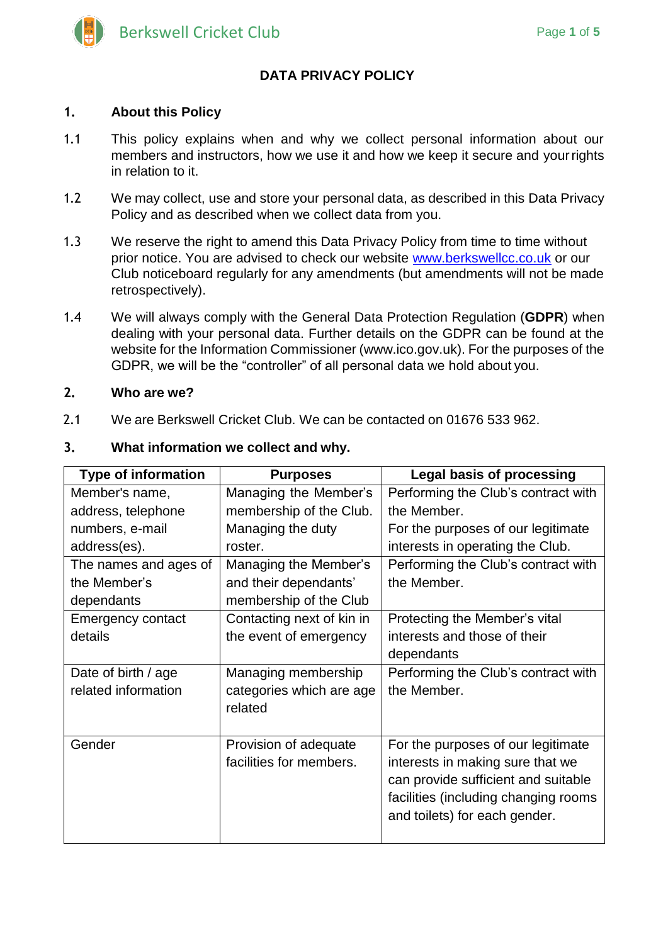

# **DATA PRIVACY POLICY**

#### **1. About this Policy**

- 1.1 This policy explains when and why we collect personal information about our members and instructors, how we use it and how we keep it secure and yourrights in relation to it.
- 1.2 We may collect, use and store your personal data, as described in this Data Privacy Policy and as described when we collect data from you.
- 1.3 We reserve the right to amend this Data Privacy Policy from time to time without prior notice. You are advised to check our website [www.berkswellcc.co.uk](http://www.berkswellcc.co.uk/) or our Club noticeboard regularly for any amendments (but amendments will not be made retrospectively).
- 1.4 We will always comply with the General Data Protection Regulation (**GDPR**) when dealing with your personal data. Further details on the GDPR can be found at the website for the Information Commissioner (www.ico.gov.uk). For the purposes of the GDPR, we will be the "controller" of all personal data we hold about you.

#### **2. Who are we?**

2.1 We are Berkswell Cricket Club. We can be contacted on 01676 533 962.

| ٤.<br>what information we collect and why. |                           |                                      |  |
|--------------------------------------------|---------------------------|--------------------------------------|--|
| <b>Type of information</b>                 | <b>Purposes</b>           | <b>Legal basis of processing</b>     |  |
| Member's name,                             | Managing the Member's     | Performing the Club's contract with  |  |
| address, telephone                         | membership of the Club.   | the Member.                          |  |
| numbers, e-mail                            | Managing the duty         | For the purposes of our legitimate   |  |
| address(es).                               | roster.                   | interests in operating the Club.     |  |
| The names and ages of                      | Managing the Member's     | Performing the Club's contract with  |  |
| the Member's                               | and their dependants'     | the Member.                          |  |
| dependants                                 | membership of the Club    |                                      |  |
| <b>Emergency contact</b>                   | Contacting next of kin in | Protecting the Member's vital        |  |
| details                                    | the event of emergency    | interests and those of their         |  |
|                                            |                           | dependants                           |  |
| Date of birth / age                        | Managing membership       | Performing the Club's contract with  |  |
| related information                        | categories which are age  | the Member.                          |  |
|                                            | related                   |                                      |  |
|                                            |                           |                                      |  |
| Gender                                     | Provision of adequate     | For the purposes of our legitimate   |  |
|                                            | facilities for members.   | interests in making sure that we     |  |
|                                            |                           | can provide sufficient and suitable  |  |
|                                            |                           | facilities (including changing rooms |  |
|                                            |                           | and toilets) for each gender.        |  |
|                                            |                           |                                      |  |
|                                            |                           |                                      |  |

# **3. What information we collect and why.**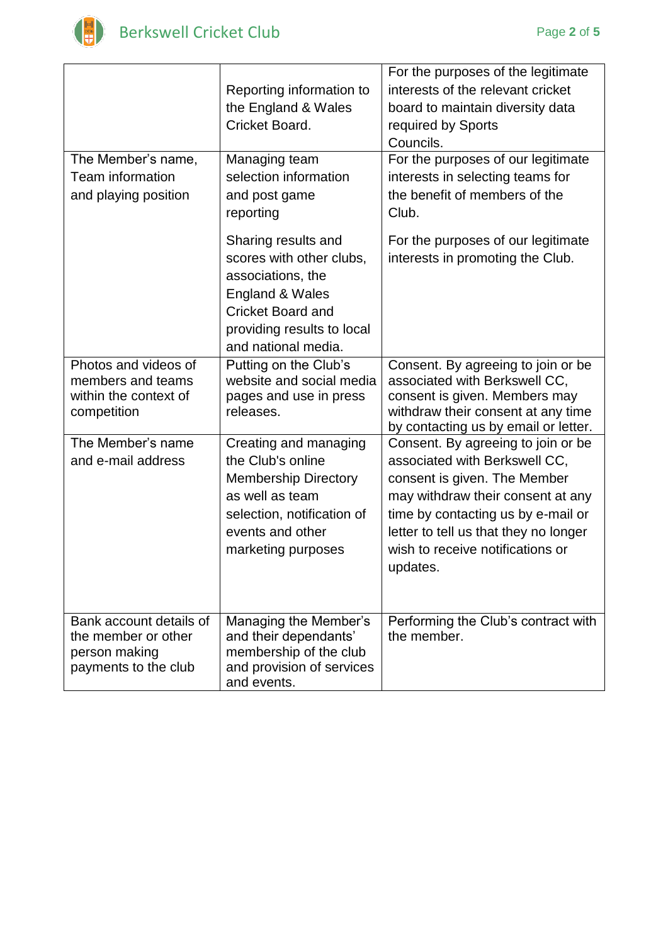

L

|                                       | Reporting information to                            | For the purposes of the legitimate<br>interests of the relevant cricket |
|---------------------------------------|-----------------------------------------------------|-------------------------------------------------------------------------|
|                                       | the England & Wales                                 | board to maintain diversity data                                        |
|                                       | Cricket Board.                                      | required by Sports                                                      |
|                                       |                                                     | Councils.                                                               |
| The Member's name,                    | Managing team                                       | For the purposes of our legitimate                                      |
| <b>Team information</b>               | selection information                               | interests in selecting teams for                                        |
| and playing position                  | and post game                                       | the benefit of members of the                                           |
|                                       | reporting                                           | Club.                                                                   |
|                                       | Sharing results and                                 | For the purposes of our legitimate                                      |
|                                       | scores with other clubs,                            | interests in promoting the Club.                                        |
|                                       | associations, the                                   |                                                                         |
|                                       | England & Wales                                     |                                                                         |
|                                       | <b>Cricket Board and</b>                            |                                                                         |
|                                       | providing results to local                          |                                                                         |
|                                       | and national media.                                 |                                                                         |
| Photos and videos of                  | Putting on the Club's                               | Consent. By agreeing to join or be                                      |
| members and teams                     | website and social media                            | associated with Berkswell CC,                                           |
| within the context of<br>competition  | pages and use in press<br>releases.                 | consent is given. Members may<br>withdraw their consent at any time     |
|                                       |                                                     | by contacting us by email or letter.                                    |
| The Member's name                     | Creating and managing                               | Consent. By agreeing to join or be                                      |
| and e-mail address                    | the Club's online                                   | associated with Berkswell CC,                                           |
|                                       | <b>Membership Directory</b>                         | consent is given. The Member                                            |
|                                       | as well as team                                     | may withdraw their consent at any                                       |
|                                       | selection, notification of                          | time by contacting us by e-mail or                                      |
|                                       | events and other                                    | letter to tell us that they no longer                                   |
|                                       | marketing purposes                                  | wish to receive notifications or                                        |
|                                       |                                                     | updates.                                                                |
|                                       |                                                     |                                                                         |
|                                       |                                                     |                                                                         |
| Bank account details of               | Managing the Member's                               | Performing the Club's contract with                                     |
| the member or other                   | and their dependants'                               | the member.                                                             |
| person making<br>payments to the club | membership of the club<br>and provision of services |                                                                         |
|                                       | and events.                                         |                                                                         |
|                                       |                                                     |                                                                         |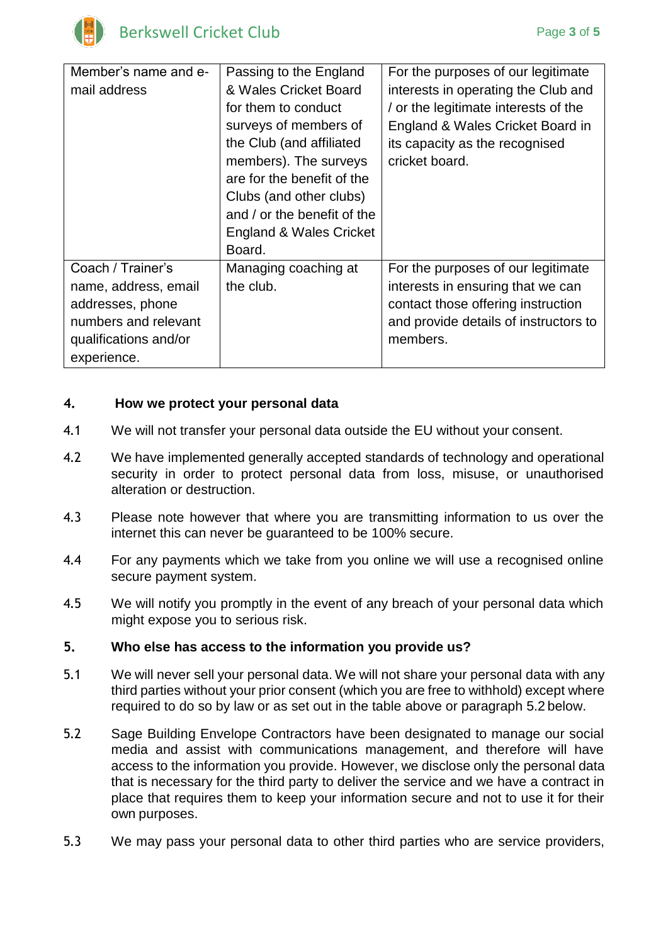

| Member's name and e-  | Passing to the England             | For the purposes of our legitimate    |
|-----------------------|------------------------------------|---------------------------------------|
| mail address          | & Wales Cricket Board              | interests in operating the Club and   |
|                       | for them to conduct                | / or the legitimate interests of the  |
|                       | surveys of members of              | England & Wales Cricket Board in      |
|                       | the Club (and affiliated           | its capacity as the recognised        |
|                       | members). The surveys              | cricket board.                        |
|                       | are for the benefit of the         |                                       |
|                       | Clubs (and other clubs)            |                                       |
|                       | and / or the benefit of the        |                                       |
|                       | <b>England &amp; Wales Cricket</b> |                                       |
|                       | Board.                             |                                       |
| Coach / Trainer's     | Managing coaching at               | For the purposes of our legitimate    |
| name, address, email  | the club.                          | interests in ensuring that we can     |
| addresses, phone      |                                    | contact those offering instruction    |
| numbers and relevant  |                                    | and provide details of instructors to |
| qualifications and/or |                                    | members.                              |
| experience.           |                                    |                                       |

## **4. How we protect your personal data**

- 4.1 We will not transfer your personal data outside the EU without your consent.
- 4.2 We have implemented generally accepted standards of technology and operational security in order to protect personal data from loss, misuse, or unauthorised alteration or destruction.
- 4.3 Please note however that where you are transmitting information to us over the internet this can never be guaranteed to be 100% secure.
- 4.4 For any payments which we take from you online we will use a recognised online secure payment system.
- 4.5 We will notify you promptly in the event of any breach of your personal data which might expose you to serious risk.

## **5. Who else has access to the information you provide us?**

- 5.1 We will never sell your personal data. We will not share your personal data with any third parties without your prior consent (which you are free to withhold) except where required to do so by law or as set out in the table above or paragraph 5.2 below.
- 5.2 Sage Building Envelope Contractors have been designated to manage our social media and assist with communications management, and therefore will have access to the information you provide. However, we disclose only the personal data that is necessary for the third party to deliver the service and we have a contract in place that requires them to keep your information secure and not to use it for their own purposes.
- 5.3 We may pass your personal data to other third parties who are service providers,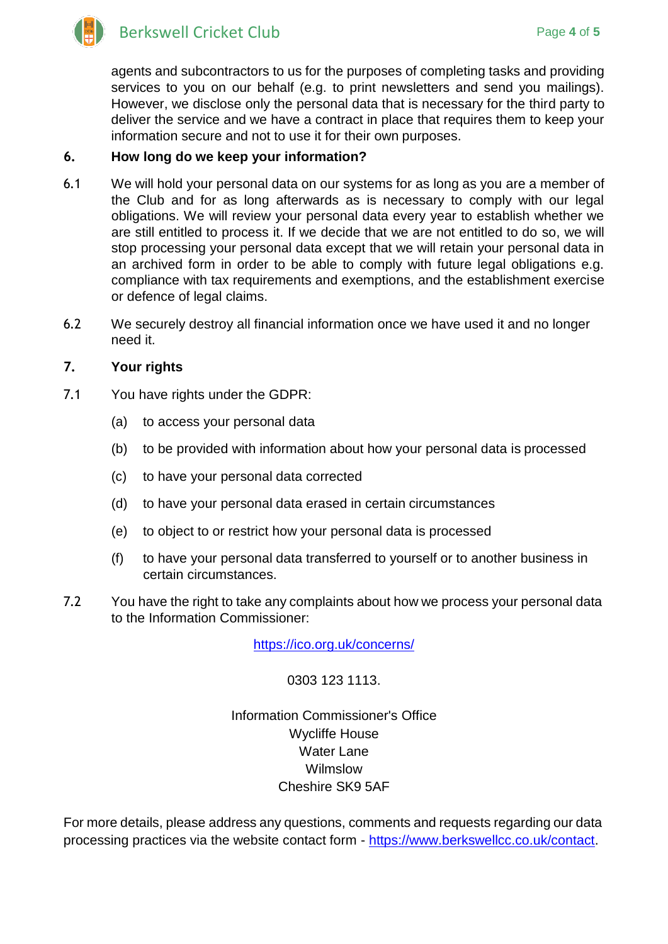

agents and subcontractors to us for the purposes of completing tasks and providing services to you on our behalf (e.g. to print newsletters and send you mailings). However, we disclose only the personal data that is necessary for the third party to deliver the service and we have a contract in place that requires them to keep your information secure and not to use it for their own purposes.

## **6. How long do we keep your information?**

- 6.1 We will hold your personal data on our systems for as long as you are a member of the Club and for as long afterwards as is necessary to comply with our legal obligations. We will review your personal data every year to establish whether we are still entitled to process it. If we decide that we are not entitled to do so, we will stop processing your personal data except that we will retain your personal data in an archived form in order to be able to comply with future legal obligations e.g. compliance with tax requirements and exemptions, and the establishment exercise or defence of legal claims.
- 6.2 We securely destroy all financial information once we have used it and no longer need it.

# **7. Your rights**

- 7.1 You have rights under the GDPR:
	- (a) to access your personal data
	- (b) to be provided with information about how your personal data is processed
	- (c) to have your personal data corrected
	- (d) to have your personal data erased in certain circumstances
	- (e) to object to or restrict how your personal data is processed
	- (f) to have your personal data transferred to yourself or to another business in certain circumstances.
- 7.2 You have the right to take any complaints about how we process your personal data to the Information Commissioner:

<https://ico.org.uk/concerns/>

0303 123 1113.

Information Commissioner's Office Wycliffe House Water Lane **Wilmslow** Cheshire SK9 5AF

For more details, please address any questions, comments and requests regarding our data processing practices via the website contact form - [https://www.berkswellcc.co.uk/contact.](https://www.berkswellcc.co.uk/contact)